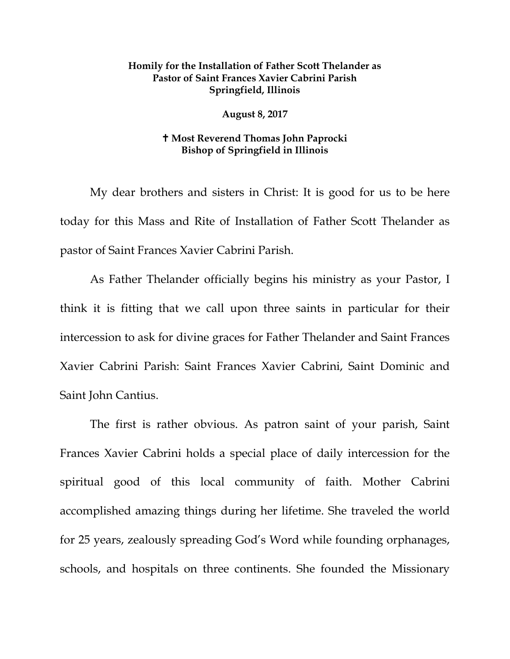## **Homily for the Installation of Father Scott Thelander as Pastor of Saint Frances Xavier Cabrini Parish Springfield, Illinois**

## **August 8, 2017**

## **Most Reverend Thomas John Paprocki Bishop of Springfield in Illinois**

My dear brothers and sisters in Christ: It is good for us to be here today for this Mass and Rite of Installation of Father Scott Thelander as pastor of Saint Frances Xavier Cabrini Parish.

As Father Thelander officially begins his ministry as your Pastor, I think it is fitting that we call upon three saints in particular for their intercession to ask for divine graces for Father Thelander and Saint Frances Xavier Cabrini Parish: Saint Frances Xavier Cabrini, Saint Dominic and Saint John Cantius.

The first is rather obvious. As patron saint of your parish, Saint Frances Xavier Cabrini holds a special place of daily intercession for the spiritual good of this local community of faith. Mother Cabrini accomplished amazing things during her lifetime. She traveled the world for 25 years, zealously spreading God's Word while founding orphanages, schools, and hospitals on three continents. She founded the Missionary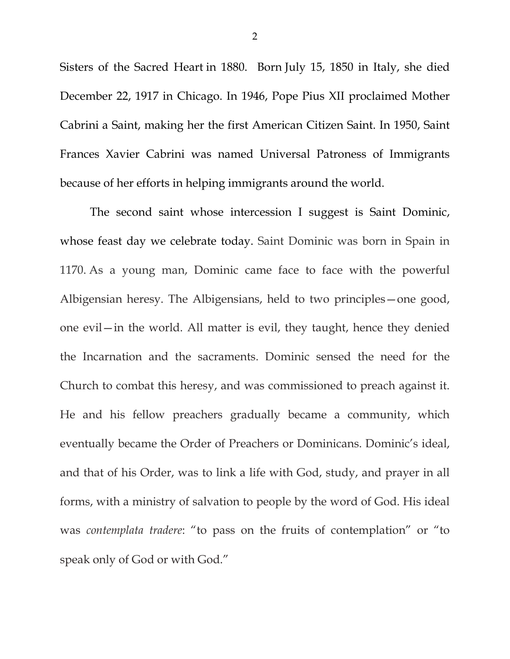Sisters of the Sacred Heart in 1880. Born July 15, 1850 in Italy, she died December 22, 1917 in Chicago. In 1946, Pope Pius XII proclaimed Mother Cabrini a Saint, making her the first American Citizen Saint. In 1950, Saint Frances Xavier Cabrini was named Universal Patroness of Immigrants because of her efforts in helping immigrants around the world.

The second saint whose intercession I suggest is Saint Dominic, whose feast day we celebrate today. Saint Dominic was born in Spain in 1170. As a young man, Dominic came face to face with the powerful Albigensian heresy. The Albigensians, held to two principles—one good, one evil—in the world. All matter is evil, they taught, hence they denied the Incarnation and the sacraments. Dominic sensed the need for the Church to combat this heresy, and was commissioned to preach against it. He and his fellow preachers gradually became a community, which eventually became the Order of Preachers or Dominicans. Dominic's ideal, and that of his Order, was to link a life with God, study, and prayer in all forms, with a ministry of salvation to people by the word of God. His ideal was *contemplata tradere*: "to pass on the fruits of contemplation" or "to speak only of God or with God."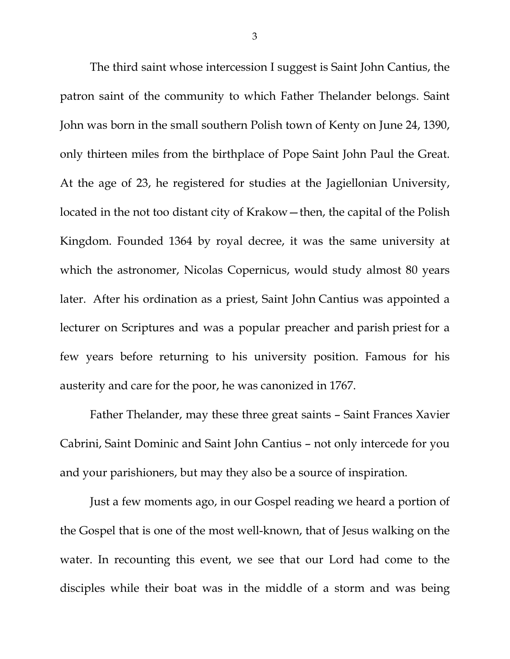The third saint whose intercession I suggest is Saint John Cantius, the patron saint of the community to which Father Thelander belongs. Saint John was born in the small southern Polish town of Kenty on June 24, 1390, only thirteen miles from the birthplace of Pope Saint John Paul the Great. At the age of 23, he registered for studies at the Jagiellonian University, located in the not too distant city of Krakow—then, the capital of the Polish Kingdom. Founded 1364 by royal decree, it was the same university at which the astronomer, Nicolas Copernicus, would study almost 80 years later. After his ordination as a priest, Saint John Cantius was appointed a lecturer on Scriptures and was a popular preacher and parish priest for a few years before returning to his university position. Famous for his austerity and care for the poor, he was canonized in 1767.

Father Thelander, may these three great saints – Saint Frances Xavier Cabrini, Saint Dominic and Saint John Cantius – not only intercede for you and your parishioners, but may they also be a source of inspiration.

Just a few moments ago, in our Gospel reading we heard a portion of the Gospel that is one of the most well-known, that of Jesus walking on the water. In recounting this event, we see that our Lord had come to the disciples while their boat was in the middle of a storm and was being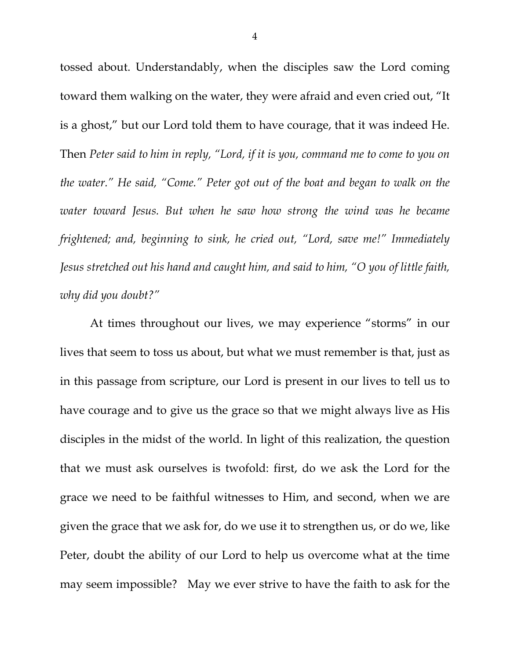tossed about. Understandably, when the disciples saw the Lord coming toward them walking on the water, they were afraid and even cried out, "It is a ghost," but our Lord told them to have courage, that it was indeed He. Then *Peter said to him in reply, "Lord, if it is you, command me to come to you on the water." He said, "Come." Peter got out of the boat and began to walk on the water toward Jesus. But when he saw how strong the wind was he became frightened; and, beginning to sink, he cried out, "Lord, save me!" Immediately Jesus stretched out his hand and caught him, and said to him, "O you of little faith, why did you doubt?"*

At times throughout our lives, we may experience "storms" in our lives that seem to toss us about, but what we must remember is that, just as in this passage from scripture, our Lord is present in our lives to tell us to have courage and to give us the grace so that we might always live as His disciples in the midst of the world. In light of this realization, the question that we must ask ourselves is twofold: first, do we ask the Lord for the grace we need to be faithful witnesses to Him, and second, when we are given the grace that we ask for, do we use it to strengthen us, or do we, like Peter, doubt the ability of our Lord to help us overcome what at the time may seem impossible? May we ever strive to have the faith to ask for the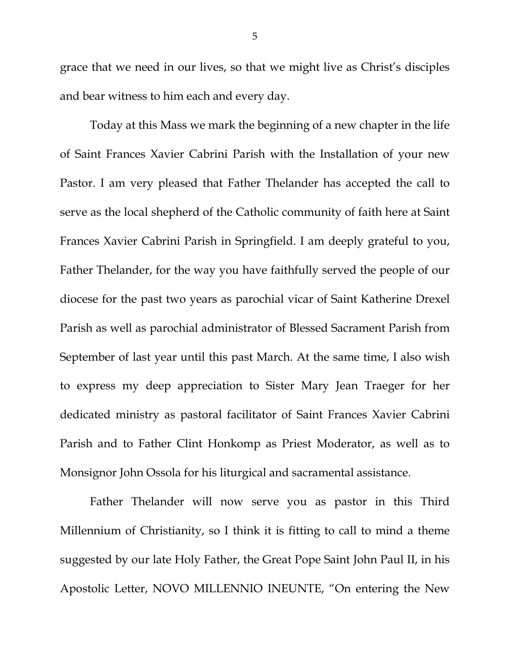grace that we need in our lives, so that we might live as Christ's disciples and bear witness to him each and every day.

Today at this Mass we mark the beginning of a new chapter in the life of Saint Frances Xavier Cabrini Parish with the Installation of your new Pastor. I am very pleased that Father Thelander has accepted the call to serve as the local shepherd of the Catholic community of faith here at Saint Frances Xavier Cabrini Parish in Springfield. I am deeply grateful to you, Father Thelander, for the way you have faithfully served the people of our diocese for the past two years as parochial vicar of Saint Katherine Drexel Parish as well as parochial administrator of Blessed Sacrament Parish from September of last year until this past March. At the same time, I also wish to express my deep appreciation to Sister Mary Jean Traeger for her dedicated ministry as pastoral facilitator of Saint Frances Xavier Cabrini Parish and to Father Clint Honkomp as Priest Moderator, as well as to Monsignor John Ossola for his liturgical and sacramental assistance.

Father Thelander will now serve you as pastor in this Third Millennium of Christianity, so I think it is fitting to call to mind a theme suggested by our late Holy Father, the Great Pope Saint John Paul II, in his Apostolic Letter, NOVO MILLENNIO INEUNTE, "On entering the New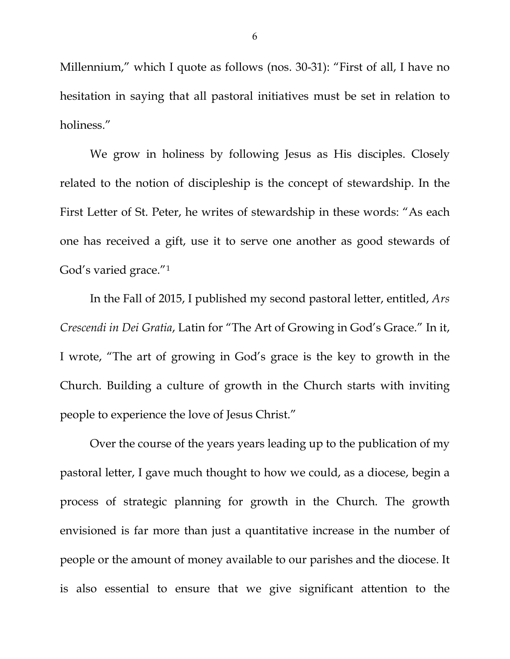Millennium," which I quote as follows (nos. 30-31): "First of all, I have no hesitation in saying that all pastoral initiatives must be set in relation to holiness."

We grow in holiness by following Jesus as His disciples. Closely related to the notion of discipleship is the concept of stewardship. In the First Letter of St. Peter, he writes of stewardship in these words: "As each one has received a gift, use it to serve one another as good stewards of God's varied grace."[1](#page-9-0)

In the Fall of 2015, I published my second pastoral letter, entitled, *Ars Crescendi in Dei Gratia*, Latin for "The Art of Growing in God's Grace." In it, I wrote, "The art of growing in God's grace is the key to growth in the Church. Building a culture of growth in the Church starts with inviting people to experience the love of Jesus Christ."

Over the course of the years years leading up to the publication of my pastoral letter, I gave much thought to how we could, as a diocese, begin a process of strategic planning for growth in the Church. The growth envisioned is far more than just a quantitative increase in the number of people or the amount of money available to our parishes and the diocese. It is also essential to ensure that we give significant attention to the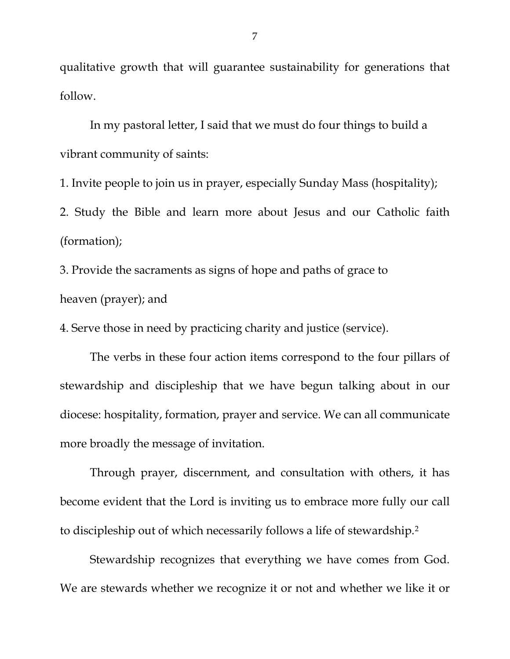qualitative growth that will guarantee sustainability for generations that follow.

In my pastoral letter, I said that we must do four things to build a vibrant community of saints:

1. Invite people to join us in prayer, especially Sunday Mass (hospitality); 2. Study the Bible and learn more about Jesus and our Catholic faith (formation);

3. Provide the sacraments as signs of hope and paths of grace to heaven (prayer); and

4. Serve those in need by practicing charity and justice (service).

The verbs in these four action items correspond to the four pillars of stewardship and discipleship that we have begun talking about in our diocese: hospitality, formation, prayer and service. We can all communicate more broadly the message of invitation.

Through prayer, discernment, and consultation with others, it has become evident that the Lord is inviting us to embrace more fully our call to discipleship out of which necessarily follows a life of stewardship.[2](#page-9-1)

Stewardship recognizes that everything we have comes from God. We are stewards whether we recognize it or not and whether we like it or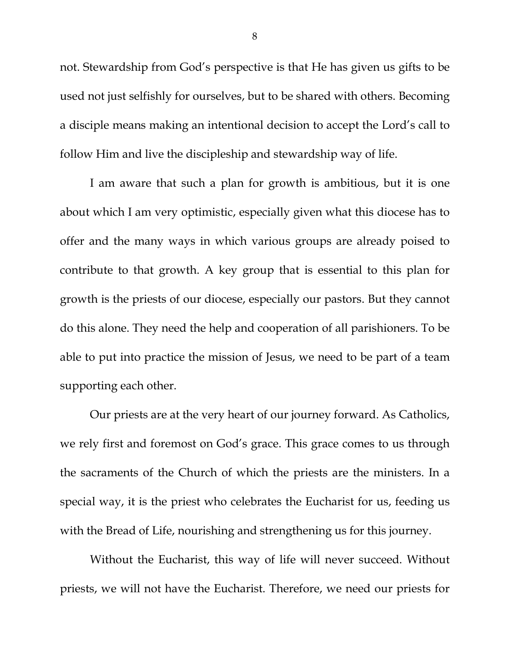not. Stewardship from God's perspective is that He has given us gifts to be used not just selfishly for ourselves, but to be shared with others. Becoming a disciple means making an intentional decision to accept the Lord's call to follow Him and live the discipleship and stewardship way of life.

I am aware that such a plan for growth is ambitious, but it is one about which I am very optimistic, especially given what this diocese has to offer and the many ways in which various groups are already poised to contribute to that growth. A key group that is essential to this plan for growth is the priests of our diocese, especially our pastors. But they cannot do this alone. They need the help and cooperation of all parishioners. To be able to put into practice the mission of Jesus, we need to be part of a team supporting each other.

Our priests are at the very heart of our journey forward. As Catholics, we rely first and foremost on God's grace. This grace comes to us through the sacraments of the Church of which the priests are the ministers. In a special way, it is the priest who celebrates the Eucharist for us, feeding us with the Bread of Life, nourishing and strengthening us for this journey.

Without the Eucharist, this way of life will never succeed. Without priests, we will not have the Eucharist. Therefore, we need our priests for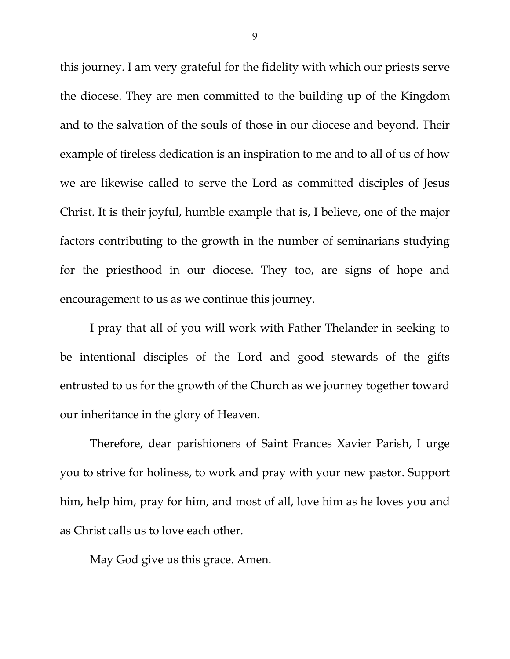this journey. I am very grateful for the fidelity with which our priests serve the diocese. They are men committed to the building up of the Kingdom and to the salvation of the souls of those in our diocese and beyond. Their example of tireless dedication is an inspiration to me and to all of us of how we are likewise called to serve the Lord as committed disciples of Jesus Christ. It is their joyful, humble example that is, I believe, one of the major factors contributing to the growth in the number of seminarians studying for the priesthood in our diocese. They too, are signs of hope and encouragement to us as we continue this journey.

I pray that all of you will work with Father Thelander in seeking to be intentional disciples of the Lord and good stewards of the gifts entrusted to us for the growth of the Church as we journey together toward our inheritance in the glory of Heaven.

Therefore, dear parishioners of Saint Frances Xavier Parish, I urge you to strive for holiness, to work and pray with your new pastor. Support him, help him, pray for him, and most of all, love him as he loves you and as Christ calls us to love each other.

May God give us this grace. Amen.

9